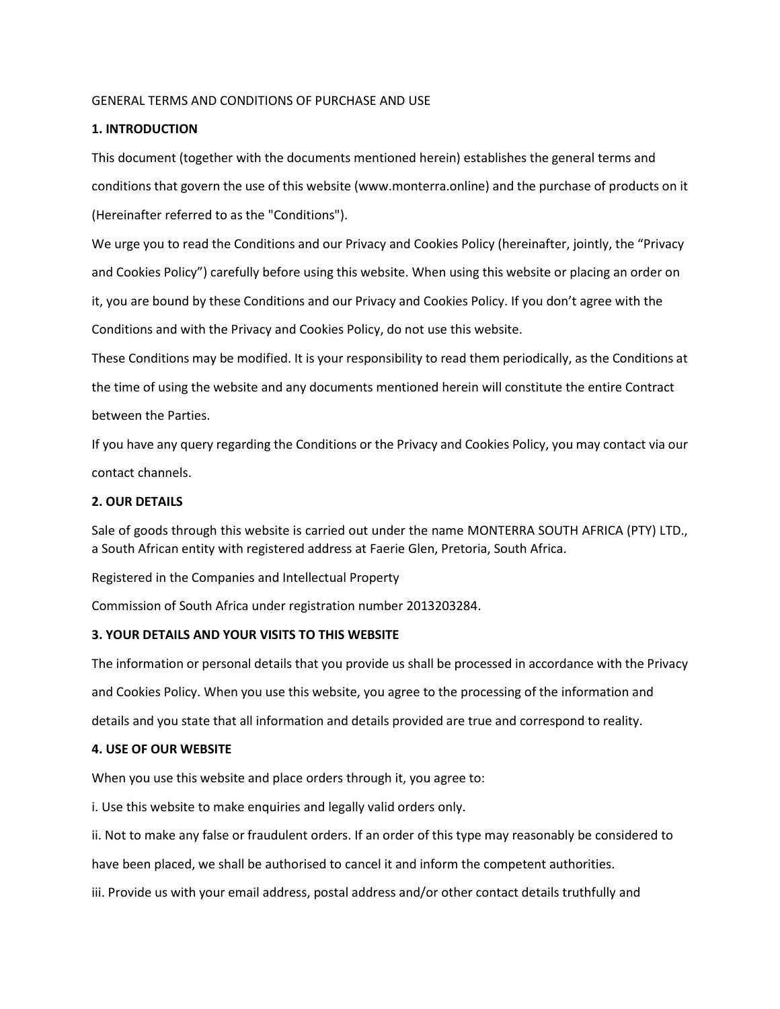# GENERAL TERMS AND CONDITIONS OF PURCHASE AND USE

# **1. INTRODUCTION**

This document (together with the documents mentioned herein) establishes the general terms and conditions that govern the use of this website (www.monterra.online) and the purchase of products on it (Hereinafter referred to as the "Conditions").

We urge you to read the Conditions and our Privacy and Cookies Policy (hereinafter, jointly, the "Privacy and Cookies Policy") carefully before using this website. When using this website or placing an order on it, you are bound by these Conditions and our Privacy and Cookies Policy. If you don't agree with the Conditions and with the Privacy and Cookies Policy, do not use this website.

These Conditions may be modified. It is your responsibility to read them periodically, as the Conditions at the time of using the website and any documents mentioned herein will constitute the entire Contract between the Parties.

If you have any query regarding the Conditions or the Privacy and Cookies Policy, you may contact via our contact channels.

# **2. OUR DETAILS**

Sale of goods through this website is carried out under the name MONTERRA SOUTH AFRICA (PTY) LTD., a South African entity with registered address at Faerie Glen, Pretoria, South Africa.

Registered in the Companies and Intellectual Property

Commission of South Africa under registration number 2013203284.

# **3. YOUR DETAILS AND YOUR VISITS TO THIS WEBSITE**

The information or personal details that you provide us shall be processed in accordance with the Privacy and Cookies Policy. When you use this website, you agree to the processing of the information and details and you state that all information and details provided are true and correspond to reality.

# **4. USE OF OUR WEBSITE**

When you use this website and place orders through it, you agree to:

i. Use this website to make enquiries and legally valid orders only.

ii. Not to make any false or fraudulent orders. If an order of this type may reasonably be considered to

have been placed, we shall be authorised to cancel it and inform the competent authorities.

iii. Provide us with your email address, postal address and/or other contact details truthfully and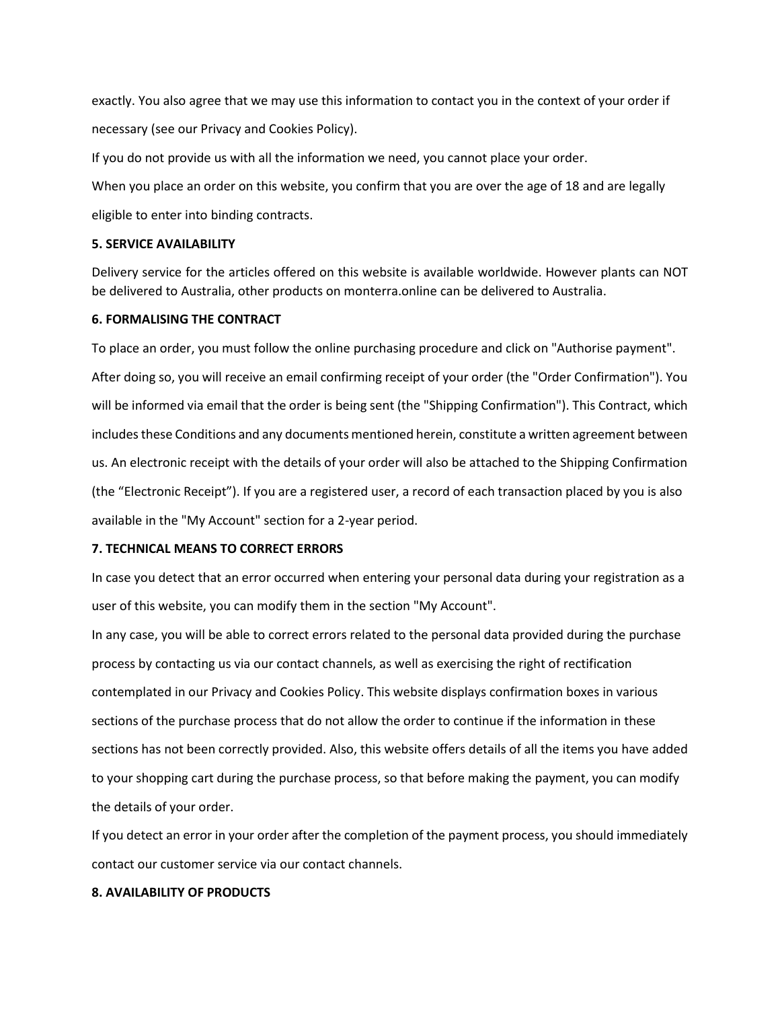exactly. You also agree that we may use this information to contact you in the context of your order if necessary (see our Privacy and Cookies Policy).

If you do not provide us with all the information we need, you cannot place your order.

When you place an order on this website, you confirm that you are over the age of 18 and are legally eligible to enter into binding contracts.

### **5. SERVICE AVAILABILITY**

Delivery service for the articles offered on this website is available worldwide. However plants can NOT be delivered to Australia, other products on monterra.online can be delivered to Australia.

# **6. FORMALISING THE CONTRACT**

To place an order, you must follow the online purchasing procedure and click on "Authorise payment". After doing so, you will receive an email confirming receipt of your order (the "Order Confirmation"). You will be informed via email that the order is being sent (the "Shipping Confirmation"). This Contract, which includes these Conditions and any documents mentioned herein, constitute a written agreement between us. An electronic receipt with the details of your order will also be attached to the Shipping Confirmation (the "Electronic Receipt"). If you are a registered user, a record of each transaction placed by you is also available in the "My Account" section for a 2-year period.

# **7. TECHNICAL MEANS TO CORRECT ERRORS**

In case you detect that an error occurred when entering your personal data during your registration as a user of this website, you can modify them in the section "My Account".

In any case, you will be able to correct errors related to the personal data provided during the purchase process by contacting us via our contact channels, as well as exercising the right of rectification contemplated in our Privacy and Cookies Policy. This website displays confirmation boxes in various sections of the purchase process that do not allow the order to continue if the information in these sections has not been correctly provided. Also, this website offers details of all the items you have added to your shopping cart during the purchase process, so that before making the payment, you can modify the details of your order.

If you detect an error in your order after the completion of the payment process, you should immediately contact our customer service via our contact channels.

### **8. AVAILABILITY OF PRODUCTS**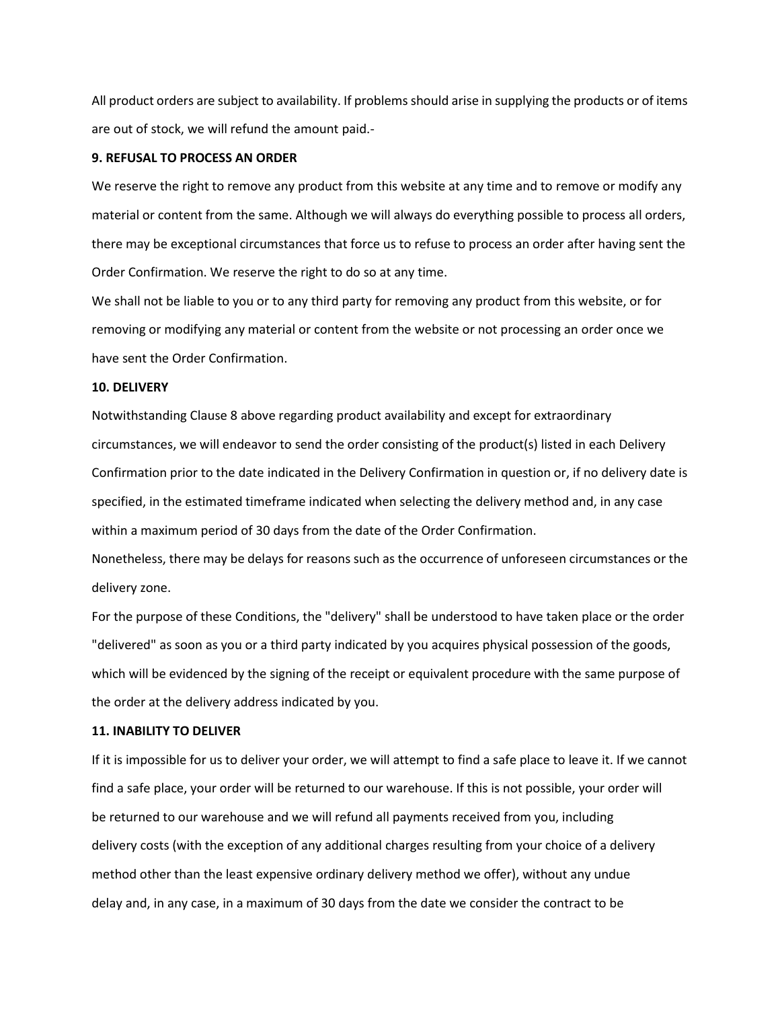All product orders are subject to availability. If problems should arise in supplying the products or of items are out of stock, we will refund the amount paid.-

### **9. REFUSAL TO PROCESS AN ORDER**

We reserve the right to remove any product from this website at any time and to remove or modify any material or content from the same. Although we will always do everything possible to process all orders, there may be exceptional circumstances that force us to refuse to process an order after having sent the Order Confirmation. We reserve the right to do so at any time.

We shall not be liable to you or to any third party for removing any product from this website, or for removing or modifying any material or content from the website or not processing an order once we have sent the Order Confirmation.

### **10. DELIVERY**

Notwithstanding Clause 8 above regarding product availability and except for extraordinary circumstances, we will endeavor to send the order consisting of the product(s) listed in each Delivery Confirmation prior to the date indicated in the Delivery Confirmation in question or, if no delivery date is specified, in the estimated timeframe indicated when selecting the delivery method and, in any case within a maximum period of 30 days from the date of the Order Confirmation.

Nonetheless, there may be delays for reasons such as the occurrence of unforeseen circumstances or the delivery zone.

For the purpose of these Conditions, the "delivery" shall be understood to have taken place or the order "delivered" as soon as you or a third party indicated by you acquires physical possession of the goods, which will be evidenced by the signing of the receipt or equivalent procedure with the same purpose of the order at the delivery address indicated by you.

#### **11. INABILITY TO DELIVER**

If it is impossible for us to deliver your order, we will attempt to find a safe place to leave it. If we cannot find a safe place, your order will be returned to our warehouse. If this is not possible, your order will be returned to our warehouse and we will refund all payments received from you, including delivery costs (with the exception of any additional charges resulting from your choice of a delivery method other than the least expensive ordinary delivery method we offer), without any undue delay and, in any case, in a maximum of 30 days from the date we consider the contract to be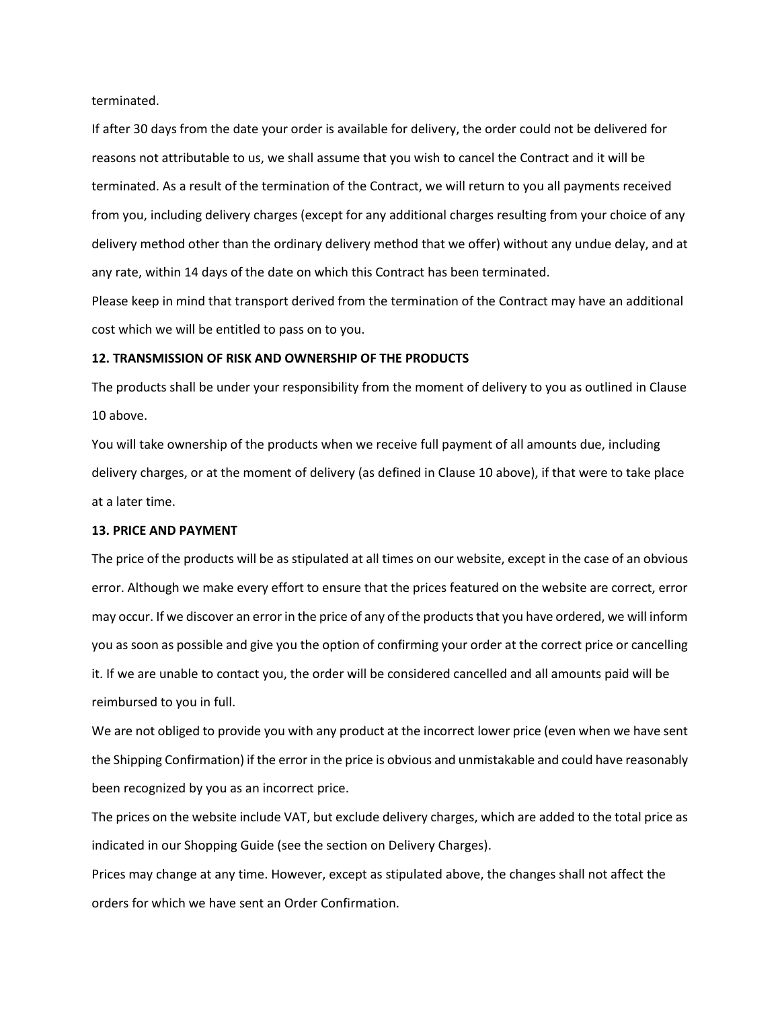terminated.

If after 30 days from the date your order is available for delivery, the order could not be delivered for reasons not attributable to us, we shall assume that you wish to cancel the Contract and it will be terminated. As a result of the termination of the Contract, we will return to you all payments received from you, including delivery charges (except for any additional charges resulting from your choice of any delivery method other than the ordinary delivery method that we offer) without any undue delay, and at any rate, within 14 days of the date on which this Contract has been terminated.

Please keep in mind that transport derived from the termination of the Contract may have an additional cost which we will be entitled to pass on to you.

### **12. TRANSMISSION OF RISK AND OWNERSHIP OF THE PRODUCTS**

The products shall be under your responsibility from the moment of delivery to you as outlined in Clause 10 above.

You will take ownership of the products when we receive full payment of all amounts due, including delivery charges, or at the moment of delivery (as defined in Clause 10 above), if that were to take place at a later time.

### **13. PRICE AND PAYMENT**

The price of the products will be as stipulated at all times on our website, except in the case of an obvious error. Although we make every effort to ensure that the prices featured on the website are correct, error may occur. If we discover an error in the price of any of the products that you have ordered, we will inform you as soon as possible and give you the option of confirming your order at the correct price or cancelling it. If we are unable to contact you, the order will be considered cancelled and all amounts paid will be reimbursed to you in full.

We are not obliged to provide you with any product at the incorrect lower price (even when we have sent the Shipping Confirmation) if the error in the price is obvious and unmistakable and could have reasonably been recognized by you as an incorrect price.

The prices on the website include VAT, but exclude delivery charges, which are added to the total price as indicated in our Shopping Guide (see the section on Delivery Charges).

Prices may change at any time. However, except as stipulated above, the changes shall not affect the orders for which we have sent an Order Confirmation.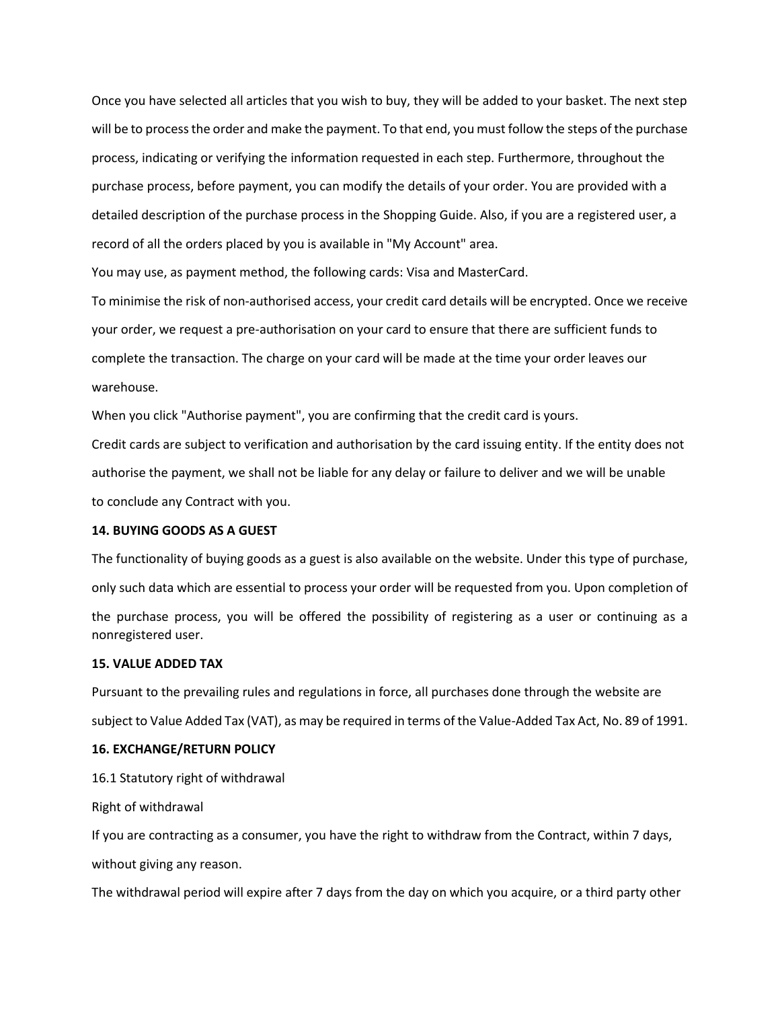Once you have selected all articles that you wish to buy, they will be added to your basket. The next step will be to processthe order and make the payment. To that end, you must follow the steps of the purchase process, indicating or verifying the information requested in each step. Furthermore, throughout the purchase process, before payment, you can modify the details of your order. You are provided with a detailed description of the purchase process in the Shopping Guide. Also, if you are a registered user, a record of all the orders placed by you is available in "My Account" area.

You may use, as payment method, the following cards: Visa and MasterCard.

To minimise the risk of non-authorised access, your credit card details will be encrypted. Once we receive your order, we request a pre-authorisation on your card to ensure that there are sufficient funds to complete the transaction. The charge on your card will be made at the time your order leaves our warehouse.

When you click "Authorise payment", you are confirming that the credit card is yours.

Credit cards are subject to verification and authorisation by the card issuing entity. If the entity does not authorise the payment, we shall not be liable for any delay or failure to deliver and we will be unable to conclude any Contract with you.

### **14. BUYING GOODS AS A GUEST**

The functionality of buying goods as a guest is also available on the website. Under this type of purchase, only such data which are essential to process your order will be requested from you. Upon completion of the purchase process, you will be offered the possibility of registering as a user or continuing as a nonregistered user.

#### **15. VALUE ADDED TAX**

Pursuant to the prevailing rules and regulations in force, all purchases done through the website are subject to Value Added Tax (VAT), as may be required in terms of the Value-Added Tax Act, No. 89 of 1991.

### **16. EXCHANGE/RETURN POLICY**

16.1 Statutory right of withdrawal

Right of withdrawal

If you are contracting as a consumer, you have the right to withdraw from the Contract, within 7 days,

without giving any reason.

The withdrawal period will expire after 7 days from the day on which you acquire, or a third party other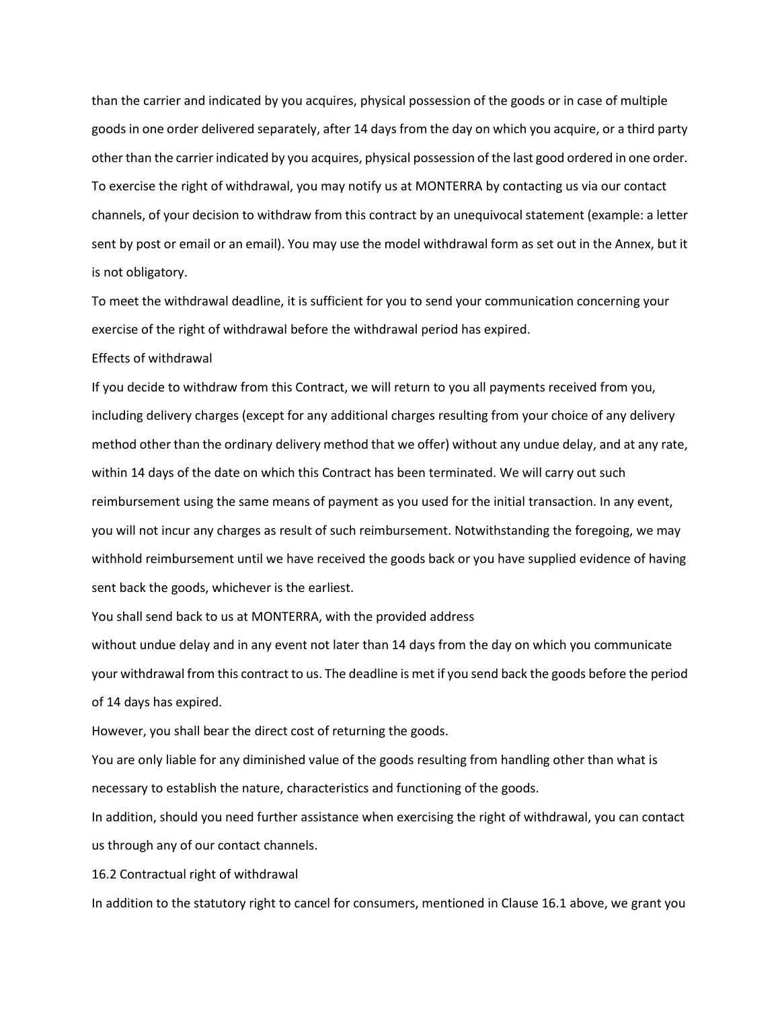than the carrier and indicated by you acquires, physical possession of the goods or in case of multiple goods in one order delivered separately, after 14 days from the day on which you acquire, or a third party other than the carrier indicated by you acquires, physical possession of the last good ordered in one order. To exercise the right of withdrawal, you may notify us at MONTERRA by contacting us via our contact channels, of your decision to withdraw from this contract by an unequivocal statement (example: a letter sent by post or email or an email). You may use the model withdrawal form as set out in the Annex, but it is not obligatory.

To meet the withdrawal deadline, it is sufficient for you to send your communication concerning your exercise of the right of withdrawal before the withdrawal period has expired.

# Effects of withdrawal

If you decide to withdraw from this Contract, we will return to you all payments received from you, including delivery charges (except for any additional charges resulting from your choice of any delivery method other than the ordinary delivery method that we offer) without any undue delay, and at any rate, within 14 days of the date on which this Contract has been terminated. We will carry out such reimbursement using the same means of payment as you used for the initial transaction. In any event, you will not incur any charges as result of such reimbursement. Notwithstanding the foregoing, we may withhold reimbursement until we have received the goods back or you have supplied evidence of having sent back the goods, whichever is the earliest.

You shall send back to us at MONTERRA, with the provided address

without undue delay and in any event not later than 14 days from the day on which you communicate your withdrawal from this contract to us. The deadline is met if you send back the goods before the period of 14 days has expired.

However, you shall bear the direct cost of returning the goods.

You are only liable for any diminished value of the goods resulting from handling other than what is necessary to establish the nature, characteristics and functioning of the goods.

In addition, should you need further assistance when exercising the right of withdrawal, you can contact us through any of our contact channels.

16.2 Contractual right of withdrawal

In addition to the statutory right to cancel for consumers, mentioned in Clause 16.1 above, we grant you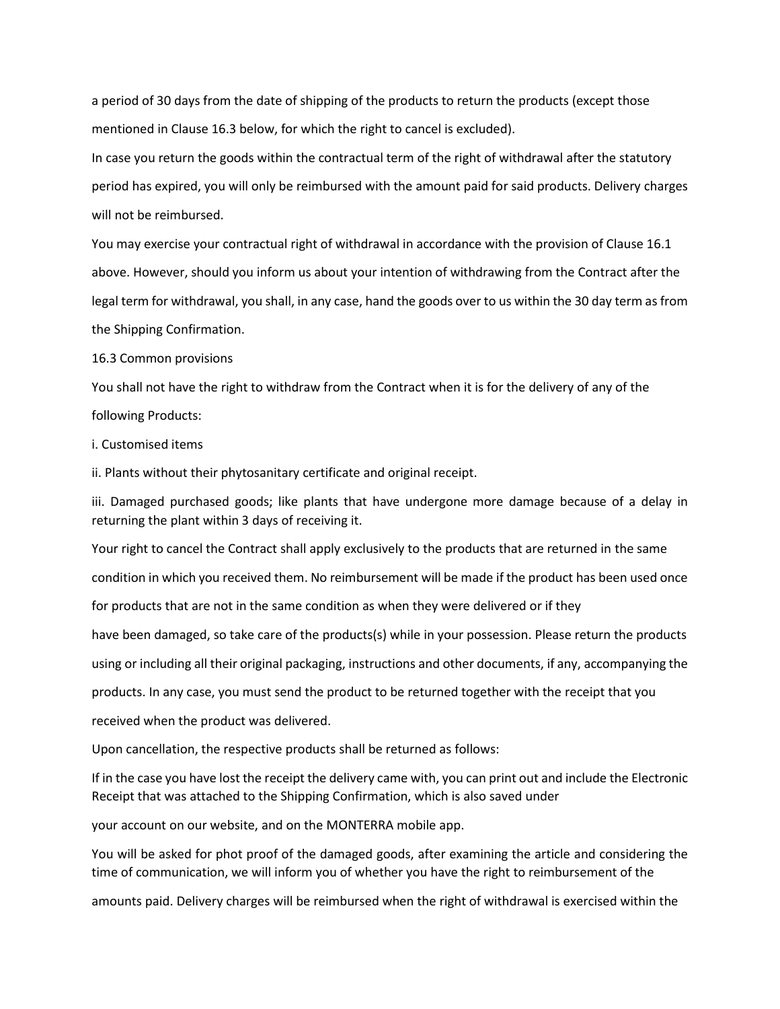a period of 30 days from the date of shipping of the products to return the products (except those mentioned in Clause 16.3 below, for which the right to cancel is excluded).

In case you return the goods within the contractual term of the right of withdrawal after the statutory period has expired, you will only be reimbursed with the amount paid for said products. Delivery charges will not be reimbursed.

You may exercise your contractual right of withdrawal in accordance with the provision of Clause 16.1 above. However, should you inform us about your intention of withdrawing from the Contract after the legal term for withdrawal, you shall, in any case, hand the goods over to us within the 30 day term as from the Shipping Confirmation.

16.3 Common provisions

You shall not have the right to withdraw from the Contract when it is for the delivery of any of the following Products:

i. Customised items

ii. Plants without their phytosanitary certificate and original receipt.

iii. Damaged purchased goods; like plants that have undergone more damage because of a delay in returning the plant within 3 days of receiving it.

Your right to cancel the Contract shall apply exclusively to the products that are returned in the same condition in which you received them. No reimbursement will be made if the product has been used once for products that are not in the same condition as when they were delivered or if they have been damaged, so take care of the products(s) while in your possession. Please return the products using or including all their original packaging, instructions and other documents, if any, accompanying the products. In any case, you must send the product to be returned together with the receipt that you received when the product was delivered.

Upon cancellation, the respective products shall be returned as follows:

If in the case you have lost the receipt the delivery came with, you can print out and include the Electronic Receipt that was attached to the Shipping Confirmation, which is also saved under

your account on our website, and on the MONTERRA mobile app.

You will be asked for phot proof of the damaged goods, after examining the article and considering the time of communication, we will inform you of whether you have the right to reimbursement of the

amounts paid. Delivery charges will be reimbursed when the right of withdrawal is exercised within the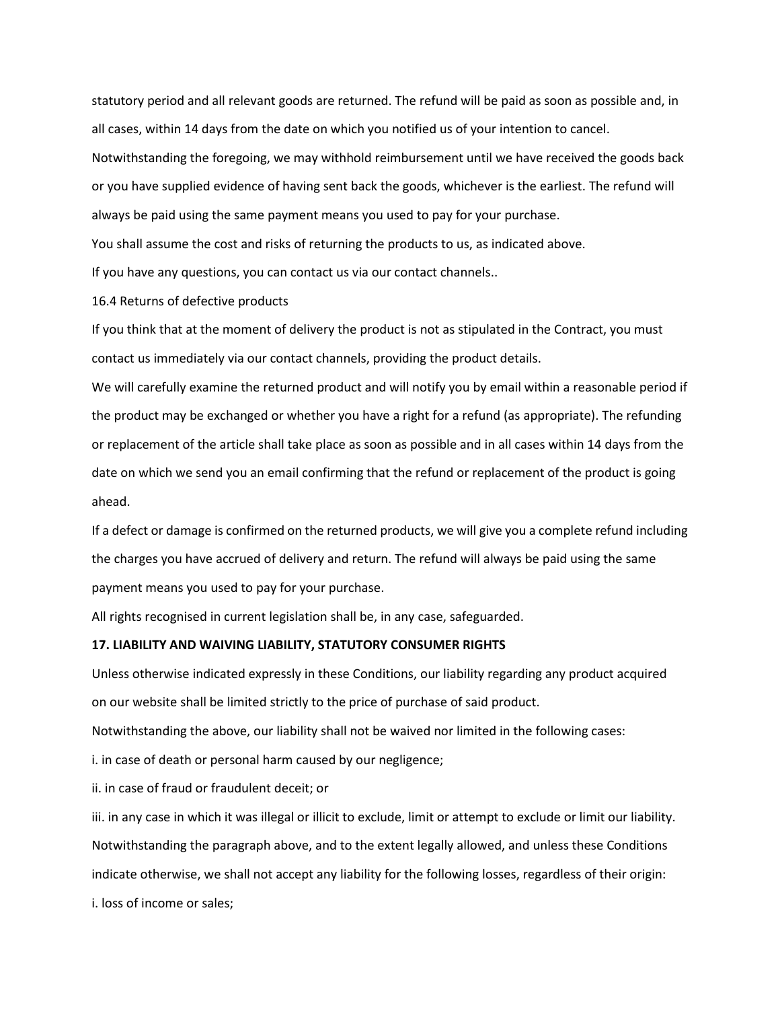statutory period and all relevant goods are returned. The refund will be paid as soon as possible and, in all cases, within 14 days from the date on which you notified us of your intention to cancel. Notwithstanding the foregoing, we may withhold reimbursement until we have received the goods back or you have supplied evidence of having sent back the goods, whichever is the earliest. The refund will always be paid using the same payment means you used to pay for your purchase.

You shall assume the cost and risks of returning the products to us, as indicated above.

If you have any questions, you can contact us via our contact channels..

16.4 Returns of defective products

If you think that at the moment of delivery the product is not as stipulated in the Contract, you must contact us immediately via our contact channels, providing the product details.

We will carefully examine the returned product and will notify you by email within a reasonable period if the product may be exchanged or whether you have a right for a refund (as appropriate). The refunding or replacement of the article shall take place as soon as possible and in all cases within 14 days from the date on which we send you an email confirming that the refund or replacement of the product is going ahead.

If a defect or damage is confirmed on the returned products, we will give you a complete refund including the charges you have accrued of delivery and return. The refund will always be paid using the same payment means you used to pay for your purchase.

All rights recognised in current legislation shall be, in any case, safeguarded.

### **17. LIABILITY AND WAIVING LIABILITY, STATUTORY CONSUMER RIGHTS**

Unless otherwise indicated expressly in these Conditions, our liability regarding any product acquired on our website shall be limited strictly to the price of purchase of said product.

Notwithstanding the above, our liability shall not be waived nor limited in the following cases:

i. in case of death or personal harm caused by our negligence;

ii. in case of fraud or fraudulent deceit; or

iii. in any case in which it was illegal or illicit to exclude, limit or attempt to exclude or limit our liability. Notwithstanding the paragraph above, and to the extent legally allowed, and unless these Conditions indicate otherwise, we shall not accept any liability for the following losses, regardless of their origin:

i. loss of income or sales;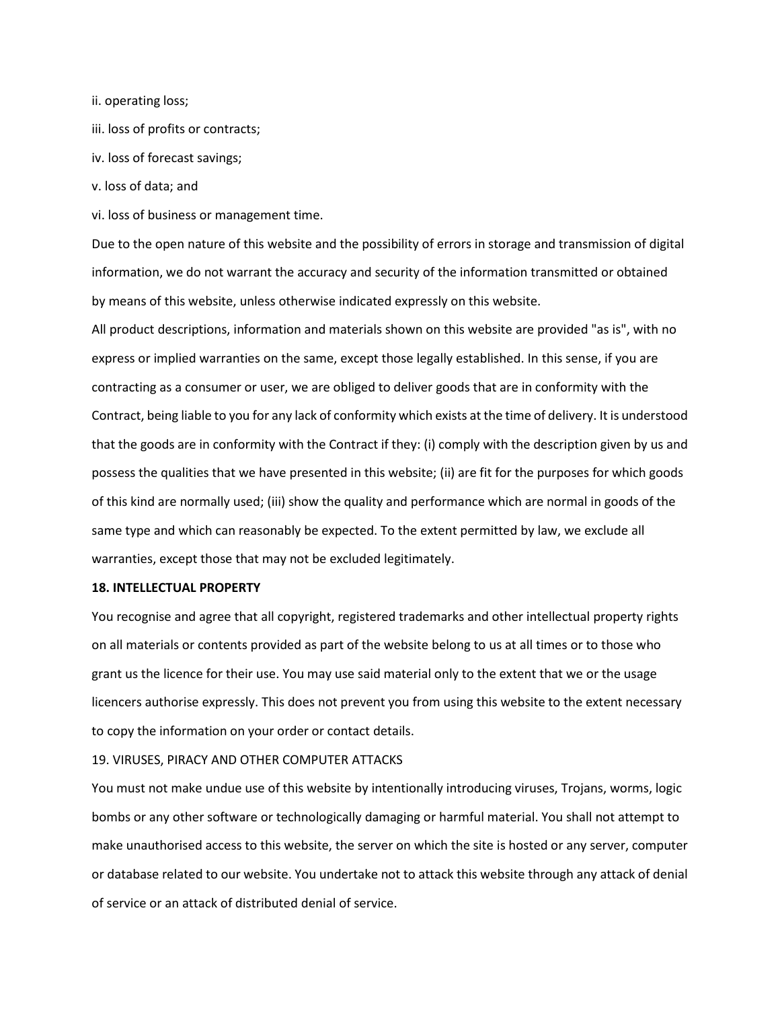ii. operating loss;

- iii. loss of profits or contracts;
- iv. loss of forecast savings;
- v. loss of data; and

vi. loss of business or management time.

Due to the open nature of this website and the possibility of errors in storage and transmission of digital information, we do not warrant the accuracy and security of the information transmitted or obtained by means of this website, unless otherwise indicated expressly on this website.

All product descriptions, information and materials shown on this website are provided "as is", with no express or implied warranties on the same, except those legally established. In this sense, if you are contracting as a consumer or user, we are obliged to deliver goods that are in conformity with the Contract, being liable to you for any lack of conformity which exists at the time of delivery. It is understood that the goods are in conformity with the Contract if they: (i) comply with the description given by us and possess the qualities that we have presented in this website; (ii) are fit for the purposes for which goods of this kind are normally used; (iii) show the quality and performance which are normal in goods of the same type and which can reasonably be expected. To the extent permitted by law, we exclude all warranties, except those that may not be excluded legitimately.

#### **18. INTELLECTUAL PROPERTY**

You recognise and agree that all copyright, registered trademarks and other intellectual property rights on all materials or contents provided as part of the website belong to us at all times or to those who grant us the licence for their use. You may use said material only to the extent that we or the usage licencers authorise expressly. This does not prevent you from using this website to the extent necessary to copy the information on your order or contact details.

#### 19. VIRUSES, PIRACY AND OTHER COMPUTER ATTACKS

You must not make undue use of this website by intentionally introducing viruses, Trojans, worms, logic bombs or any other software or technologically damaging or harmful material. You shall not attempt to make unauthorised access to this website, the server on which the site is hosted or any server, computer or database related to our website. You undertake not to attack this website through any attack of denial of service or an attack of distributed denial of service.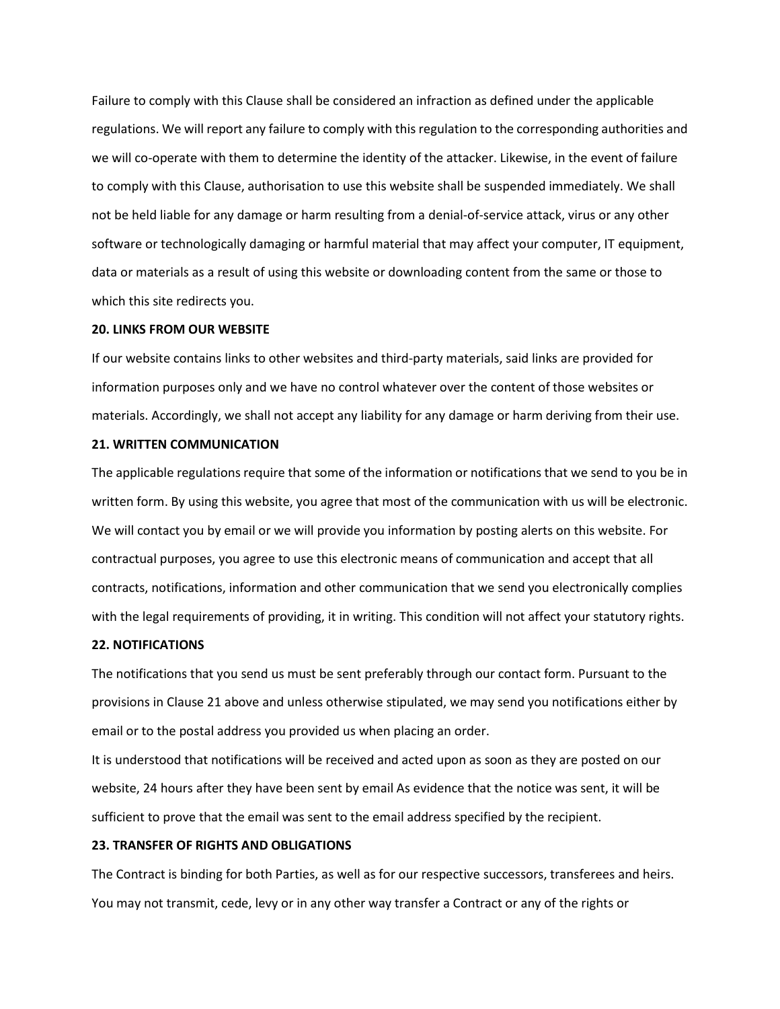Failure to comply with this Clause shall be considered an infraction as defined under the applicable regulations. We will report any failure to comply with this regulation to the corresponding authorities and we will co-operate with them to determine the identity of the attacker. Likewise, in the event of failure to comply with this Clause, authorisation to use this website shall be suspended immediately. We shall not be held liable for any damage or harm resulting from a denial-of-service attack, virus or any other software or technologically damaging or harmful material that may affect your computer, IT equipment, data or materials as a result of using this website or downloading content from the same or those to which this site redirects you.

#### **20. LINKS FROM OUR WEBSITE**

If our website contains links to other websites and third-party materials, said links are provided for information purposes only and we have no control whatever over the content of those websites or materials. Accordingly, we shall not accept any liability for any damage or harm deriving from their use.

### **21. WRITTEN COMMUNICATION**

The applicable regulations require that some of the information or notifications that we send to you be in written form. By using this website, you agree that most of the communication with us will be electronic. We will contact you by email or we will provide you information by posting alerts on this website. For contractual purposes, you agree to use this electronic means of communication and accept that all contracts, notifications, information and other communication that we send you electronically complies with the legal requirements of providing, it in writing. This condition will not affect your statutory rights.

### **22. NOTIFICATIONS**

The notifications that you send us must be sent preferably through our contact form. Pursuant to the provisions in Clause 21 above and unless otherwise stipulated, we may send you notifications either by email or to the postal address you provided us when placing an order.

It is understood that notifications will be received and acted upon as soon as they are posted on our website, 24 hours after they have been sent by email As evidence that the notice was sent, it will be sufficient to prove that the email was sent to the email address specified by the recipient.

### **23. TRANSFER OF RIGHTS AND OBLIGATIONS**

The Contract is binding for both Parties, as well as for our respective successors, transferees and heirs. You may not transmit, cede, levy or in any other way transfer a Contract or any of the rights or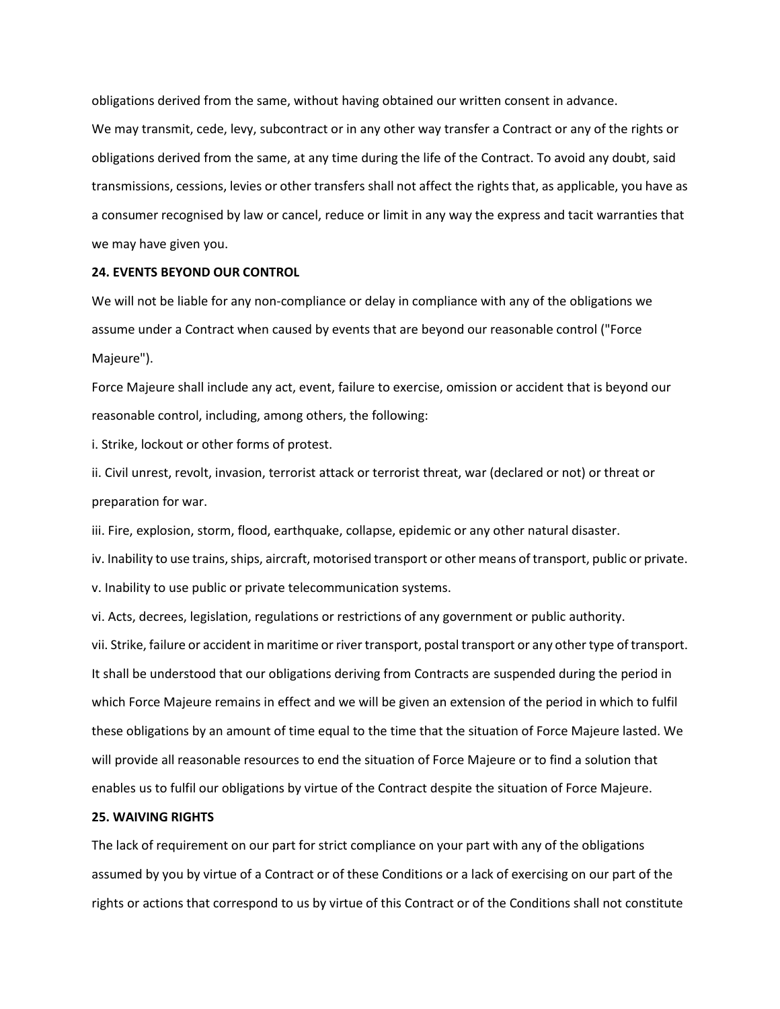obligations derived from the same, without having obtained our written consent in advance. We may transmit, cede, levy, subcontract or in any other way transfer a Contract or any of the rights or obligations derived from the same, at any time during the life of the Contract. To avoid any doubt, said transmissions, cessions, levies or other transfers shall not affect the rights that, as applicable, you have as a consumer recognised by law or cancel, reduce or limit in any way the express and tacit warranties that we may have given you.

#### **24. EVENTS BEYOND OUR CONTROL**

We will not be liable for any non-compliance or delay in compliance with any of the obligations we assume under a Contract when caused by events that are beyond our reasonable control ("Force Majeure").

Force Majeure shall include any act, event, failure to exercise, omission or accident that is beyond our reasonable control, including, among others, the following:

i. Strike, lockout or other forms of protest.

ii. Civil unrest, revolt, invasion, terrorist attack or terrorist threat, war (declared or not) or threat or preparation for war.

iii. Fire, explosion, storm, flood, earthquake, collapse, epidemic or any other natural disaster.

iv. Inability to use trains, ships, aircraft, motorised transport or other means of transport, public or private. v. Inability to use public or private telecommunication systems.

vi. Acts, decrees, legislation, regulations or restrictions of any government or public authority.

vii. Strike, failure or accident in maritime or river transport, postal transport or any other type of transport. It shall be understood that our obligations deriving from Contracts are suspended during the period in which Force Majeure remains in effect and we will be given an extension of the period in which to fulfil these obligations by an amount of time equal to the time that the situation of Force Majeure lasted. We will provide all reasonable resources to end the situation of Force Majeure or to find a solution that enables us to fulfil our obligations by virtue of the Contract despite the situation of Force Majeure.

#### **25. WAIVING RIGHTS**

The lack of requirement on our part for strict compliance on your part with any of the obligations assumed by you by virtue of a Contract or of these Conditions or a lack of exercising on our part of the rights or actions that correspond to us by virtue of this Contract or of the Conditions shall not constitute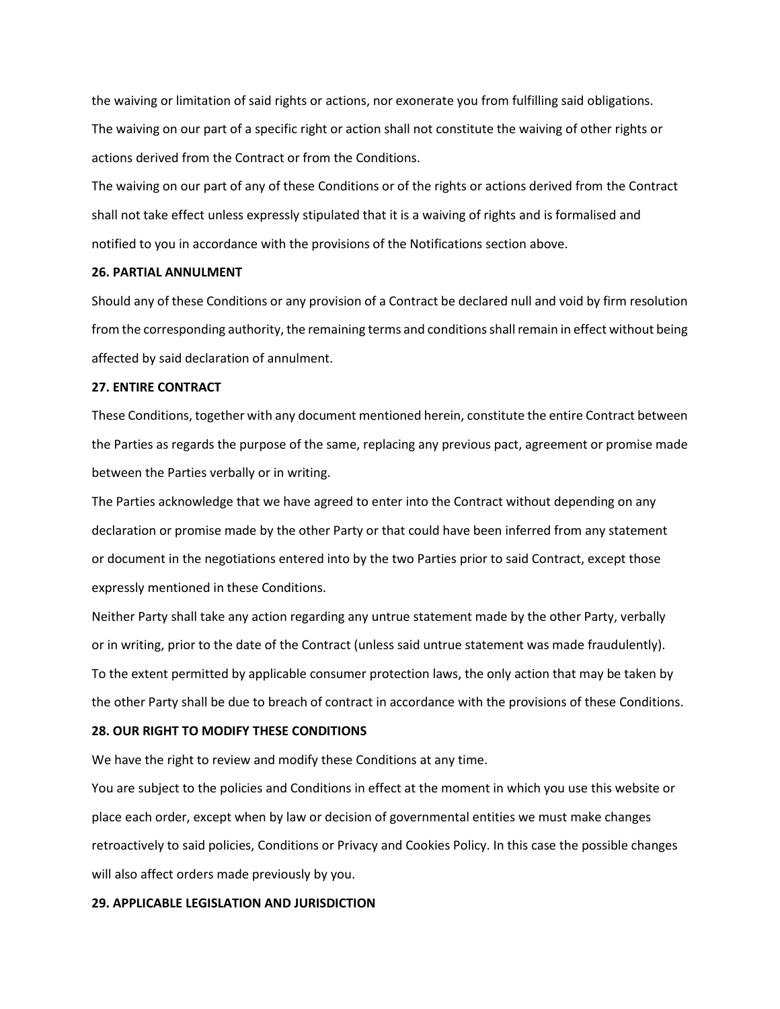the waiving or limitation of said rights or actions, nor exonerate you from fulfilling said obligations. The waiving on our part of a specific right or action shall not constitute the waiving of other rights or actions derived from the Contract or from the Conditions.

The waiving on our part of any of these Conditions or of the rights or actions derived from the Contract shall not take effect unless expressly stipulated that it is a waiving of rights and is formalised and notified to you in accordance with the provisions of the Notifications section above.

#### **26. PARTIAL ANNULMENT**

Should any of these Conditions or any provision of a Contract be declared null and void by firm resolution from the corresponding authority, the remaining terms and conditions shall remain in effect without being affected by said declaration of annulment.

### **27. ENTIRE CONTRACT**

These Conditions, together with any document mentioned herein, constitute the entire Contract between the Parties as regards the purpose of the same, replacing any previous pact, agreement or promise made between the Parties verbally or in writing.

The Parties acknowledge that we have agreed to enter into the Contract without depending on any declaration or promise made by the other Party or that could have been inferred from any statement or document in the negotiations entered into by the two Parties prior to said Contract, except those expressly mentioned in these Conditions.

Neither Party shall take any action regarding any untrue statement made by the other Party, verbally or in writing, prior to the date of the Contract (unless said untrue statement was made fraudulently). To the extent permitted by applicable consumer protection laws, the only action that may be taken by the other Party shall be due to breach of contract in accordance with the provisions of these Conditions.

# **28. OUR RIGHT TO MODIFY THESE CONDITIONS**

We have the right to review and modify these Conditions at any time.

You are subject to the policies and Conditions in effect at the moment in which you use this website or place each order, except when by law or decision of governmental entities we must make changes retroactively to said policies, Conditions or Privacy and Cookies Policy. In this case the possible changes will also affect orders made previously by you.

# **29. APPLICABLE LEGISLATION AND JURISDICTION**